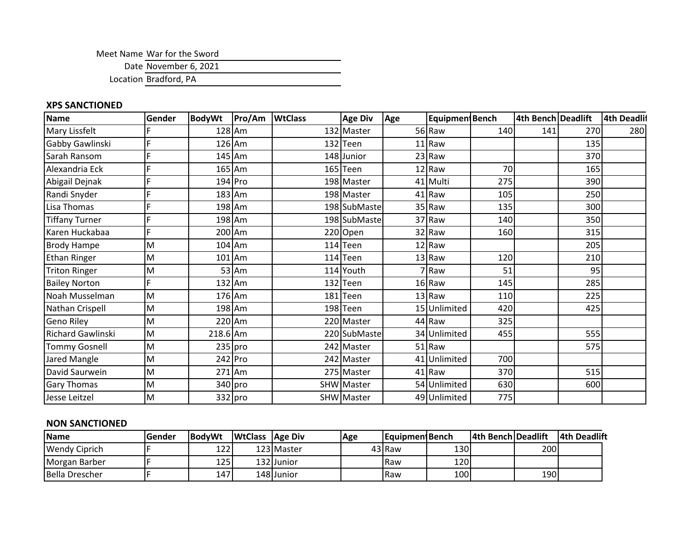Meet Name War for the Sword

Date November 6, 2021

Location Bradford, PA

## **XPS SANCTIONED**

| <b>Name</b>           | Gender | BodyWt     | Pro/Am WtClass | <b>Age Div</b> | Age | Equipmen Bench |     | 4th Bench Deadlift |     | 4th Deadlif |
|-----------------------|--------|------------|----------------|----------------|-----|----------------|-----|--------------------|-----|-------------|
| Mary Lissfelt         |        | $128$ Am   |                | 132 Master     |     | 56 Raw         | 140 | 141                | 270 | 280         |
| Gabby Gawlinski       |        | $126$ Am   |                | 132 Teen       |     | 11 Raw         |     |                    | 135 |             |
| Sarah Ransom          |        |            | 145 Am         | 148 Junior     |     | 23 Raw         |     |                    | 370 |             |
| Alexandria Eck        |        | 165 Am     |                | $165$ Teen     |     | 12 Raw         | 70  |                    | 165 |             |
| Abigail Dejnak        |        |            | 194 Pro        | 198 Master     |     | 41 Multi       | 275 |                    | 390 |             |
| Randi Snyder          |        | $183$ Am   |                | 198 Master     |     | 41 Raw         | 105 |                    | 250 |             |
| Lisa Thomas           |        | 198 Am     |                | 198 SubMastel  |     | 35 Raw         | 135 |                    | 300 |             |
| <b>Tiffany Turner</b> |        | 198 Am     |                | 198 SubMaste   |     | 37 Raw         | 140 |                    | 350 |             |
| Karen Huckabaa        | E      | 200 Am     |                | 220 Open       |     | 32 Raw         | 160 |                    | 315 |             |
| <b>Brody Hampe</b>    | M      | $104$ Am   |                | $114$ Teen     |     | 12 Raw         |     |                    | 205 |             |
| <b>Ethan Ringer</b>   | M      | $101$ Am   |                | 114 Teen       |     | 13 Raw         | 120 |                    | 210 |             |
| <b>Triton Ringer</b>  | M      |            | $53$ Am        | 114 Youth      |     | 7 Raw          | 51  |                    | 95  |             |
| <b>Bailey Norton</b>  | Ė      |            | 132 Am         | $132$ Teen     |     | 16 Raw         | 145 |                    | 285 |             |
| Noah Musselman        | M      | 176 Am     |                | 181 Teen       |     | 13 Raw         | 110 |                    | 225 |             |
| Nathan Crispell       | M      |            | 198 Am         | 198 Teen       |     | 15 Unlimited   | 420 |                    | 425 |             |
| Geno Riley            | M      |            | 220 Am         | 220 Master     |     | 44 Raw         | 325 |                    |     |             |
| Richard Gawlinski     | M      | $218.6$ Am |                | 220 SubMaste   |     | 34 Unlimited   | 455 |                    | 555 |             |
| <b>Tommy Gosnell</b>  | M      |            | $235$ pro      | 242 Master     |     | 51 Raw         |     |                    | 575 |             |
| Jared Mangle          | M      |            | 242 Pro        | 242 Master     |     | 41 Unlimited   | 700 |                    |     |             |
| David Saurwein        | M      | 271 Am     |                | 275 Master     |     | 41 Raw         | 370 |                    | 515 |             |
| <b>Gary Thomas</b>    | M      |            | 340 pro        | SHW Master     |     | 54 Unlimited   | 630 |                    | 600 |             |
| Jesse Leitzel         | M      |            | 332 pro        | SHW Master     |     | 49 Unlimited   | 775 |                    |     |             |

## **NON SANCTIONED**

| <b>Name</b>          | Gender | BodyWt | <b>WtClass Age Div</b> |            | Age | l Eauipment Bench |      | 4th Bench Deadlift |            | 4th Deadlift |
|----------------------|--------|--------|------------------------|------------|-----|-------------------|------|--------------------|------------|--------------|
| <b>Wendy Ciprich</b> |        | 1221   |                        | 123 Master |     | 43 Raw            | 130  |                    | 200        |              |
| Morgan Barber        |        | 1251   |                        | 132 Junior |     | Raw               | 1201 |                    |            |              |
| Bella Drescher       |        | 1471   |                        | 148 Junior |     | Raw               | 100  |                    | <b>190</b> |              |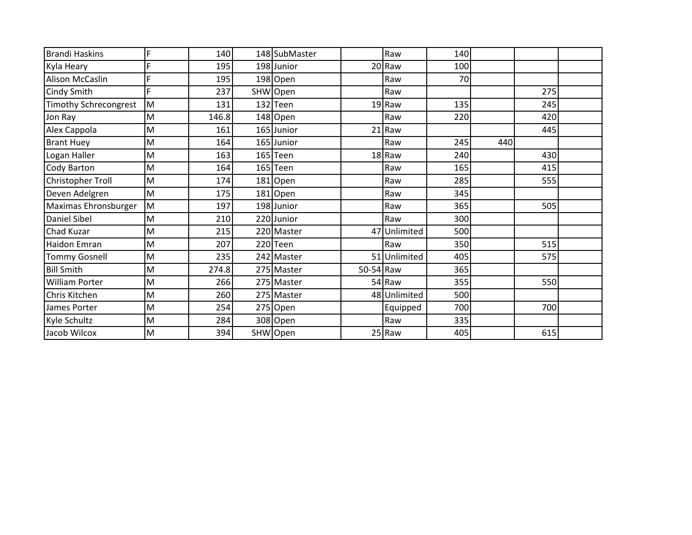| <b>Brandi Haskins</b>        | F | 140   | 148 SubMaster |           | Raw          | 140 |     |     |  |
|------------------------------|---|-------|---------------|-----------|--------------|-----|-----|-----|--|
| Kyla Heary                   | F | 195   | 198 Junior    |           | 20 Raw       | 100 |     |     |  |
| Alison McCaslin              | F | 195   | 198 Open      |           | Raw          | 70  |     |     |  |
| <b>Cindy Smith</b>           | F | 237   | SHW Open      |           | Raw          |     |     | 275 |  |
| <b>Timothy Schrecongrest</b> | M | 131   | 132 Teen      |           | 19 Raw       | 135 |     | 245 |  |
| Jon Ray                      | M | 146.8 | 148 Open      |           | Raw          | 220 |     | 420 |  |
| Alex Cappola                 | M | 161   | 165 Junior    |           | 21 Raw       |     |     | 445 |  |
| <b>Brant Huey</b>            | M | 164   | 165 Junior    |           | Raw          | 245 | 440 |     |  |
| Logan Haller                 | M | 163   | 165 Teen      |           | 18 Raw       | 240 |     | 430 |  |
| Cody Barton                  | M | 164   | 165 Teen      |           | Raw          | 165 |     | 415 |  |
| Christopher Troll            | M | 174   | 181 Open      |           | Raw          | 285 |     | 555 |  |
| Deven Adelgren               | M | 175   | $181$ Open    |           | Raw          | 345 |     |     |  |
| Maximas Ehronsburger         | M | 197   | 198 Junior    |           | Raw          | 365 |     | 505 |  |
| <b>Daniel Sibel</b>          | M | 210   | 220 Junior    |           | Raw          | 300 |     |     |  |
| Chad Kuzar                   | M | 215   | 220 Master    |           | 47 Unlimited | 500 |     |     |  |
| <b>Haidon Emran</b>          | M | 207   | 220Teen       |           | Raw          | 350 |     | 515 |  |
| <b>Tommy Gosnell</b>         | M | 235   | 242 Master    |           | 51 Unlimited | 405 |     | 575 |  |
| <b>Bill Smith</b>            | M | 274.8 | 275 Master    | 50-54 Raw |              | 365 |     |     |  |
| <b>William Porter</b>        | M | 266   | 275 Master    |           | 54 Raw       | 355 |     | 550 |  |
| Chris Kitchen                | M | 260   | 275 Master    |           | 48 Unlimited | 500 |     |     |  |
| James Porter                 | M | 254   | 275 Open      |           | Equipped     | 700 |     | 700 |  |
| Kyle Schultz                 | M | 284   | 308 Open      |           | Raw          | 335 |     |     |  |
| Jacob Wilcox                 | M | 394   | SHW Open      |           | 25 Raw       | 405 |     | 615 |  |